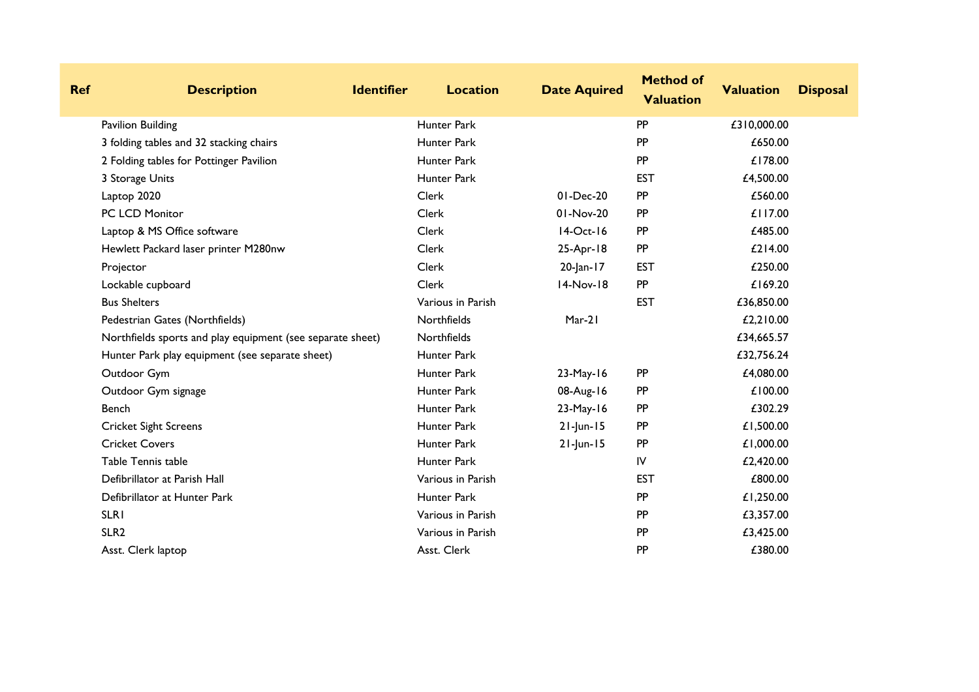| <b>Ref</b> | <b>Description</b>                                         | <b>Identifier</b> | <b>Location</b>    | <b>Date Aquired</b> | <b>Method of</b><br><b>Valuation</b> | <b>Valuation</b> | <b>Disposal</b> |
|------------|------------------------------------------------------------|-------------------|--------------------|---------------------|--------------------------------------|------------------|-----------------|
|            | Pavilion Building                                          |                   | Hunter Park        |                     | PP                                   | £310,000.00      |                 |
|            | 3 folding tables and 32 stacking chairs                    |                   | <b>Hunter Park</b> |                     | PP                                   | £650.00          |                 |
|            | 2 Folding tables for Pottinger Pavilion                    |                   | Hunter Park        |                     | PP                                   | £178.00          |                 |
|            | 3 Storage Units                                            |                   | Hunter Park        |                     | <b>EST</b>                           | £4,500.00        |                 |
|            | Laptop 2020                                                |                   | Clerk              | 01-Dec-20           | PP                                   | £560.00          |                 |
|            | PC LCD Monitor                                             |                   | <b>Clerk</b>       | 01-Nov-20           | PP                                   | £117.00          |                 |
|            | Laptop & MS Office software                                |                   | Clerk              | $14-Oct-16$         | <b>PP</b>                            | £485.00          |                 |
|            | Hewlett Packard laser printer M280nw                       |                   | Clerk              | 25-Apr-18           | <b>PP</b>                            | £214.00          |                 |
|            | Projector                                                  |                   | Clerk              | 20-Jan-17           | <b>EST</b>                           | £250.00          |                 |
|            | Lockable cupboard                                          |                   | Clerk              | 14-Nov-18           | PP                                   | £169.20          |                 |
|            | <b>Bus Shelters</b>                                        |                   | Various in Parish  |                     | <b>EST</b>                           | £36,850.00       |                 |
|            | Pedestrian Gates (Northfields)                             |                   | Northfields        | Mar-21              |                                      | £2,210.00        |                 |
|            | Northfields sports and play equipment (see separate sheet) |                   | Northfields        |                     |                                      | £34,665.57       |                 |
|            | Hunter Park play equipment (see separate sheet)            |                   | Hunter Park        |                     |                                      | £32,756.24       |                 |
|            | Outdoor Gym                                                |                   | Hunter Park        | $23-May-16$         | <b>PP</b>                            | £4,080.00        |                 |
|            | Outdoor Gym signage                                        |                   | Hunter Park        | 08-Aug-16           | <b>PP</b>                            | £100.00          |                 |
|            | Bench                                                      |                   | <b>Hunter Park</b> | 23-May-16           | PP                                   | £302.29          |                 |
|            | <b>Cricket Sight Screens</b>                               |                   | Hunter Park        | $21$ -Jun-15        | PP                                   | £1,500.00        |                 |
|            | <b>Cricket Covers</b>                                      |                   | Hunter Park        | $21$ -Jun-15        | PP                                   | £1,000.00        |                 |
|            | Table Tennis table                                         |                   | Hunter Park        |                     | IV                                   | £2,420.00        |                 |
|            | Defibrillator at Parish Hall                               |                   | Various in Parish  |                     | <b>EST</b>                           | £800.00          |                 |
|            | Defibrillator at Hunter Park                               |                   | Hunter Park        |                     | PP                                   | £1,250.00        |                 |
|            | <b>SLRI</b>                                                |                   | Various in Parish  |                     | <b>PP</b>                            | £3,357.00        |                 |
|            | SLR <sub>2</sub>                                           |                   | Various in Parish  |                     | PP                                   | £3,425.00        |                 |
|            | Asst. Clerk laptop                                         |                   | Asst. Clerk        |                     | PP                                   | £380.00          |                 |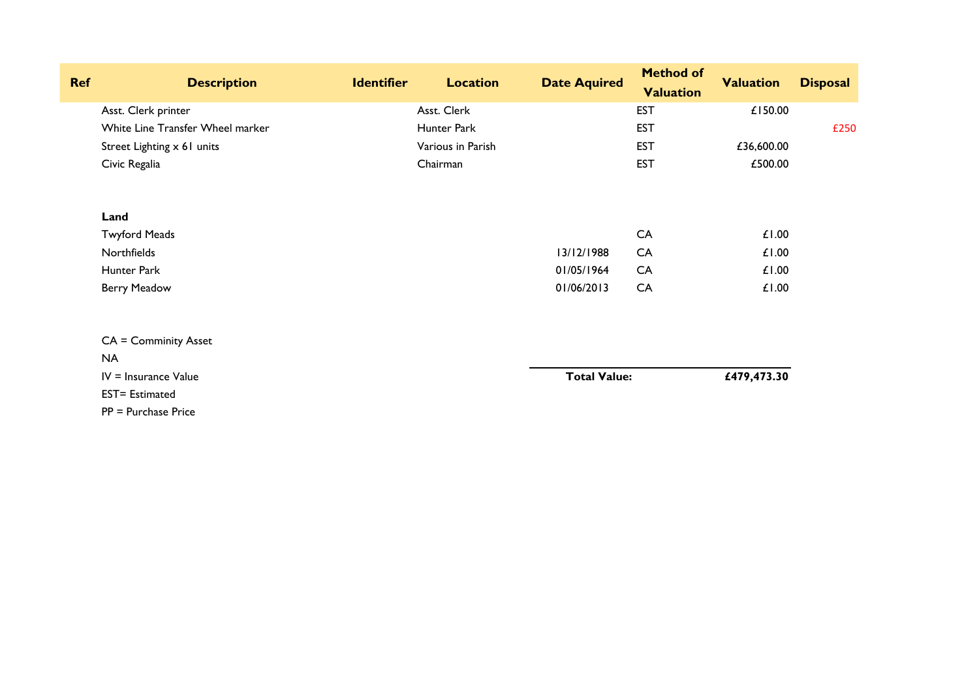| <b>Ref</b> | <b>Description</b>               | <b>Identifier</b> | <b>Location</b>   | <b>Date Aquired</b> | <b>Method of</b> | <b>Valuation</b> | <b>Disposal</b> |
|------------|----------------------------------|-------------------|-------------------|---------------------|------------------|------------------|-----------------|
|            |                                  |                   |                   |                     | <b>Valuation</b> |                  |                 |
|            | Asst. Clerk printer              |                   | Asst. Clerk       |                     | <b>EST</b>       | £150.00          |                 |
|            | White Line Transfer Wheel marker |                   | Hunter Park       |                     | <b>EST</b>       |                  | £250            |
|            | Street Lighting x 61 units       |                   | Various in Parish |                     | <b>EST</b>       | £36,600.00       |                 |
|            | Civic Regalia                    |                   | Chairman          |                     | <b>EST</b>       | £500.00          |                 |
|            | Land                             |                   |                   |                     |                  |                  |                 |
|            | <b>Twyford Meads</b>             |                   |                   |                     | CA               | £1.00            |                 |
|            | Northfields                      |                   |                   | 13/12/1988          | CA               | £1.00            |                 |
|            | Hunter Park                      |                   |                   | 01/05/1964          | CA               | £1.00            |                 |
|            | <b>Berry Meadow</b>              |                   |                   | 01/06/2013          | CA               | £1.00            |                 |
|            | <b>CA = Comminity Asset</b>      |                   |                   |                     |                  |                  |                 |
|            | <b>NA</b>                        |                   |                   |                     |                  |                  |                 |
|            | $IV = Insurface Value$           |                   |                   | <b>Total Value:</b> |                  | £479,473.30      |                 |
|            | <b>EST= Estimated</b>            |                   |                   |                     |                  |                  |                 |
|            | $PP = Purchase Price$            |                   |                   |                     |                  |                  |                 |